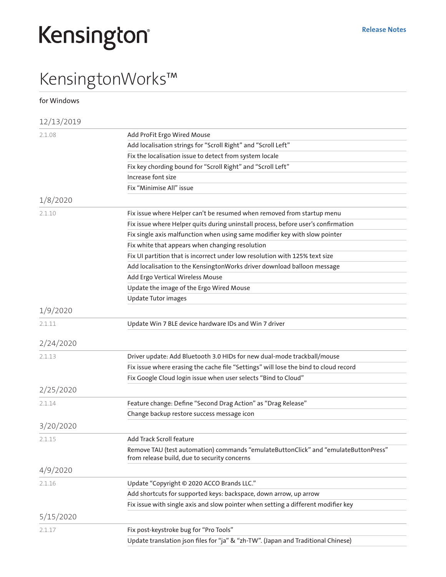## Kensington

## KensingtonWorks™

for Windows 12/13/2019 2.1.08 Add ProFit Ergo Wired Mouse Add localisation strings for "Scroll Right" and "Scroll Left" Fix the localisation issue to detect from system locale Fix key chording bound for "Scroll Right" and "Scroll Left" Increase font size Fix "Minimise All" issue 1/8/2020 2.1.10 Fix issue where Helper can't be resumed when removed from startup menu Fix issue where Helper quits during uninstall process, before user's confirmation Fix single axis malfunction when using same modifier key with slow pointer Fix white that appears when changing resolution Fix UI partition that is incorrect under low resolution with 125% text size Add localisation to the KensingtonWorks driver download balloon message Add Ergo Vertical Wireless Mouse Update the image of the Ergo Wired Mouse Update Tutor images 1/9/2020 2.1.11 Update Win 7 BLE device hardware IDs and Win 7 driver 2/24/2020 2.1.13 Driver update: Add Bluetooth 3.0 HIDs for new dual-mode trackball/mouse Fix issue where erasing the cache file "Settings" will lose the bind to cloud record Fix Google Cloud login issue when user selects "Bind to Cloud" 2/25/2020 2.1.14 Feature change: Define "Second Drag Action" as "Drag Release" Change backup restore success message icon 3/20/2020 2.1.15 Add Track Scroll feature Remove TAU (test automation) commands "emulateButtonClick" and "emulateButtonPress" from release build, due to security concerns 4/9/2020 2.1.16 Update "Copyright © 2020 ACCO Brands LLC." Add shortcuts for supported keys: backspace, down arrow, up arrow Fix issue with single axis and slow pointer when setting a different modifier key 5/15/2020 2.1.17 Fix post-keystroke bug for "Pro Tools" Update translation json files for "ja" & "zh-TW". (Japan and Traditional Chinese)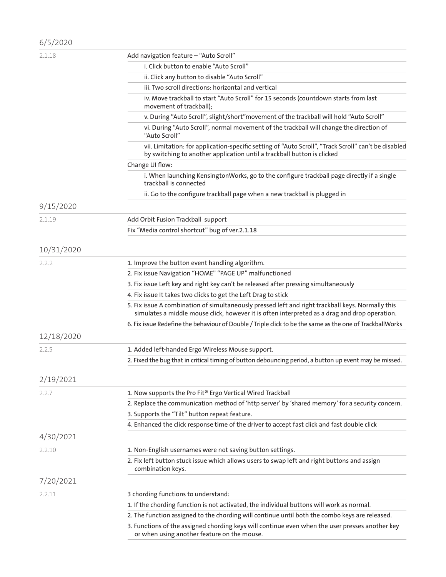| 6/5/2020   |                                                                                                                                                                                                    |
|------------|----------------------------------------------------------------------------------------------------------------------------------------------------------------------------------------------------|
| 2.1.18     | Add navigation feature - "Auto Scroll"                                                                                                                                                             |
|            | i. Click button to enable "Auto Scroll"                                                                                                                                                            |
|            | ii. Click any button to disable "Auto Scroll"                                                                                                                                                      |
|            | iii. Two scroll directions: horizontal and vertical                                                                                                                                                |
|            | iv. Move trackball to start "Auto Scroll" for 15 seconds (countdown starts from last<br>movement of trackball);                                                                                    |
|            | v. During "Auto Scroll", slight/short" movement of the trackball will hold "Auto Scroll"                                                                                                           |
|            | vi. During "Auto Scroll", normal movement of the trackball will change the direction of<br>"Auto Scroll"                                                                                           |
|            | vii. Limitation: for application-specific setting of "Auto Scroll", "Track Scroll" can't be disabled<br>by switching to another application until a trackball button is clicked                    |
|            | Change UI flow:                                                                                                                                                                                    |
|            | i. When launching KensingtonWorks, go to the configure trackball page directly if a single<br>trackball is connected                                                                               |
|            | ii. Go to the configure trackball page when a new trackball is plugged in                                                                                                                          |
| 9/15/2020  |                                                                                                                                                                                                    |
| 2.1.19     | Add Orbit Fusion Trackball support                                                                                                                                                                 |
|            | Fix "Media control shortcut" bug of ver.2.1.18                                                                                                                                                     |
|            |                                                                                                                                                                                                    |
| 10/31/2020 |                                                                                                                                                                                                    |
| 2.2.2      | 1. Improve the button event handling algorithm.                                                                                                                                                    |
|            | 2. Fix issue Navigation "HOME" "PAGE UP" malfunctioned                                                                                                                                             |
|            | 3. Fix issue Left key and right key can't be released after pressing simultaneously                                                                                                                |
|            | 4. Fix issue It takes two clicks to get the Left Drag to stick                                                                                                                                     |
|            | 5. Fix issue A combination of simultaneously pressed left and right trackball keys. Normally this<br>simulates a middle mouse click, however it is often interpreted as a drag and drop operation. |
|            | 6. Fix issue Redefine the behaviour of Double / Triple click to be the same as the one of TrackballWorks                                                                                           |
| 12/18/2020 |                                                                                                                                                                                                    |
| 2.2.5      | 1. Added left-handed Ergo Wireless Mouse support.                                                                                                                                                  |
|            | 2. Fixed the bug that in critical timing of button debouncing period, a button up event may be missed.                                                                                             |
| 2/19/2021  |                                                                                                                                                                                                    |
| 2.2.7      | 1. Now supports the Pro Fit® Ergo Vertical Wired Trackball                                                                                                                                         |
|            | 2. Replace the communication method of 'http server' by 'shared memory' for a security concern.                                                                                                    |
|            | 3. Supports the "Tilt" button repeat feature.                                                                                                                                                      |
|            | 4. Enhanced the click response time of the driver to accept fast click and fast double click                                                                                                       |
| 4/30/2021  |                                                                                                                                                                                                    |
| 2.2.10     | 1. Non-English usernames were not saving button settings.                                                                                                                                          |
|            | 2. Fix left button stuck issue which allows users to swap left and right buttons and assign<br>combination keys.                                                                                   |
| 7/20/2021  |                                                                                                                                                                                                    |
| 2.2.11     | 3 chording functions to understand:                                                                                                                                                                |
|            | 1. If the chording function is not activated, the individual buttons will work as normal.                                                                                                          |
|            | 2. The function assigned to the chording will continue until both the combo keys are released.                                                                                                     |
|            | 3. Functions of the assigned chording keys will continue even when the user presses another key<br>or when using another feature on the mouse.                                                     |